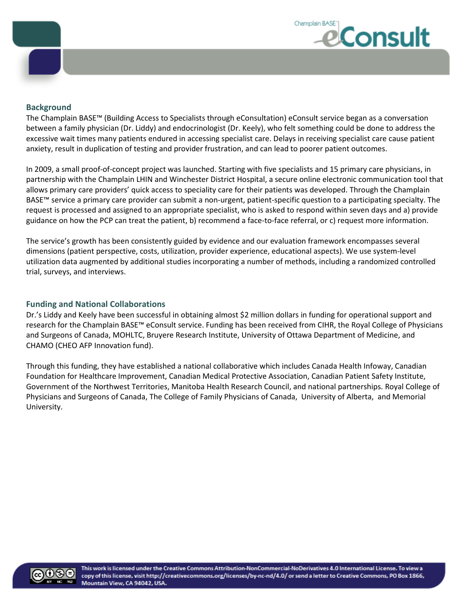

### **Background**

The Champlain BASE™ (Building Access to Specialists through eConsultation) eConsult service began as a conversation between a family physician (Dr. Liddy) and endocrinologist (Dr. Keely), who felt something could be done to address the excessive wait times many patients endured in accessing specialist care. Delays in receiving specialist care cause patient anxiety, result in duplication of testing and provider frustration, and can lead to poorer patient outcomes.

In 2009, a small proof-of-concept project was launched. Starting with five specialists and 15 primary care physicians, in partnership with the Champlain LHIN and Winchester District Hospital, a secure online electronic communication tool that allows primary care providers' quick access to speciality care for their patients was developed. Through the Champlain BASE™ service a primary care provider can submit a non-urgent, patient-specific question to a participating specialty. The request is processed and assigned to an appropriate specialist, who is asked to respond within seven days and a) provide guidance on how the PCP can treat the patient, b) recommend a face-to-face referral, or c) request more information.

The service's growth has been consistently guided by evidence and our evaluation framework encompasses several dimensions (patient perspective, costs, utilization, provider experience, educational aspects). We use system-level utilization data augmented by additional studies incorporating a number of methods, including a randomized controlled trial, surveys, and interviews.

### **Funding and National Collaborations**

Dr.'s Liddy and Keely have been successful in obtaining almost \$2 million dollars in funding for operational support and research for the Champlain BASE™ eConsult service. Funding has been received from CIHR, the Royal College of Physicians and Surgeons of Canada, MOHLTC, Bruyere Research Institute, University of Ottawa Department of Medicine, and CHAMO (CHEO AFP Innovation fund).

Through this funding, they have established a national collaborative which includes Canada Health Infoway, Canadian Foundation for Healthcare Improvement, Canadian Medical Protective Association, Canadian Patient Safety Institute, Government of the Northwest Territories, Manitoba Health Research Council, and national partnerships. Royal College of Physicians and Surgeons of Canada, The College of Family Physicians of Canada, University of Alberta, and Memorial University.

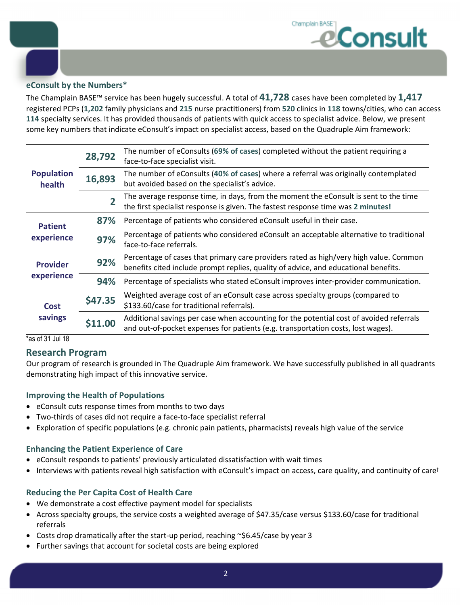

## **eConsult by the Numbers\***

The Champlain BASE™ service has been hugely successful. A total of **41,728** cases have been completed by **1,417** registered PCPs (**1,202** family physicians and **215** nurse practitioners) from **520** clinics in **118** towns/cities, who can access **114** specialty services. It has provided thousands of patients with quick access to specialist advice. Below, we present some key numbers that indicate eConsult's impact on specialist access, based on the Quadruple Aim framework:

| <b>Population</b><br>health   | 28,792  | The number of eConsults (69% of cases) completed without the patient requiring a<br>face-to-face specialist visit.                                                           |
|-------------------------------|---------|------------------------------------------------------------------------------------------------------------------------------------------------------------------------------|
|                               | 16,893  | The number of eConsults (40% of cases) where a referral was originally contemplated<br>but avoided based on the specialist's advice.                                         |
|                               |         | The average response time, in days, from the moment the eConsult is sent to the time<br>the first specialist response is given. The fastest response time was 2 minutes!     |
| <b>Patient</b><br>experience  | 87%     | Percentage of patients who considered eConsult useful in their case.                                                                                                         |
|                               | 97%     | Percentage of patients who considered eConsult an acceptable alternative to traditional<br>face-to-face referrals.                                                           |
| <b>Provider</b><br>experience | 92%     | Percentage of cases that primary care providers rated as high/very high value. Common<br>benefits cited include prompt replies, quality of advice, and educational benefits. |
|                               | 94%     | Percentage of specialists who stated eConsult improves inter-provider communication.                                                                                         |
| <b>Cost</b><br>savings        | \$47.35 | Weighted average cost of an eConsult case across specialty groups (compared to<br>\$133.60/case for traditional referrals).                                                  |
|                               |         | Additional savings per case when accounting for the potential cost of avoided referrals<br>and out-of-pocket expenses for patients (e.g. transportation costs, lost wages).  |

\*as of 31 Jul 18

## **Research Program**

Our program of research is grounded in The Quadruple Aim framework. We have successfully published in all quadrants demonstrating high impact of this innovative service.

### **Improving the Health of Populations**

- eConsult cuts response times from months to two days
- Two-thirds of cases did not require a face-to-face specialist referral
- Exploration of specific populations (e.g. chronic pain patients, pharmacists) reveals high value of the service

### **Enhancing the Patient Experience of Care**

- eConsult responds to patients' previously articulated dissatisfaction with wait times
- Interviews with patients reveal high satisfaction with eConsult's impact on access, care quality, and continuity of care<sup>†</sup>

### **Reducing the Per Capita Cost of Health Care**

- We demonstrate a cost effective payment model for specialists
- Across specialty groups, the service costs a weighted average of \$47.35/case versus \$133.60/case for traditional referrals
- Costs drop dramatically after the start-up period, reaching ~\$6.45/case by year 3
- Further savings that account for societal costs are being explored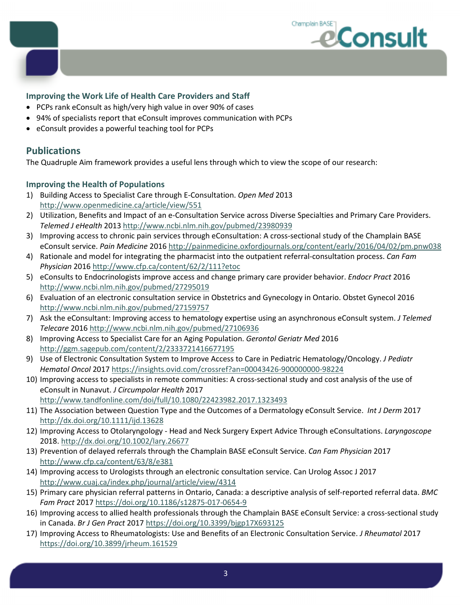

## **Improving the Work Life of Health Care Providers and Staff**

- PCPs rank eConsult as high/very high value in over 90% of cases
- 94% of specialists report that eConsult improves communication with PCPs
- eConsult provides a powerful teaching tool for PCPs

# **Publications**

The Quadruple Aim framework provides a useful lens through which to view the scope of our research:

## **Improving the Health of Populations**

- 1) Building Access to Specialist Care through E-Consultation. *Open Med* 2013 http://www.openmedicine.ca/article/view/551
- 2) Utilization, Benefits and Impact of an e-Consultation Service across Diverse Specialties and Primary Care Providers. *Telemed J eHealth* 2013 http://www.ncbi.nlm.nih.gov/pubmed/23980939
- 3) Improving access to chronic pain services through eConsultation: A cross-sectional study of the Champlain BASE eConsult service. *Pain Medicine* 2016 http://painmedicine.oxfordjournals.org/content/early/2016/04/02/pm.pnw038
- 4) Rationale and model for integrating the pharmacist into the outpatient referral-consultation process. *Can Fam Physician* 2016 http://www.cfp.ca/content/62/2/111?etoc
- 5) eConsults to Endocrinologists improve access and change primary care provider behavior. *Endocr Pract* 2016 http://www.ncbi.nlm.nih.gov/pubmed/27295019
- 6) Evaluation of an electronic consultation service in Obstetrics and Gynecology in Ontario. Obstet Gynecol 2016 http://www.ncbi.nlm.nih.gov/pubmed/27159757
- 7) Ask the eConsultant: Improving access to hematology expertise using an asynchronous eConsult system. *J Telemed Telecare* 2016 http://www.ncbi.nlm.nih.gov/pubmed/27106936
- 8) Improving Access to Specialist Care for an Aging Population. *Gerontol Geriatr Med* 2016 http://ggm.sagepub.com/content/2/2333721416677195
- 9) Use of Electronic Consultation System to Improve Access to Care in Pediatric Hematology/Oncology. *J Pediatr Hematol Oncol* 2017 https://insights.ovid.com/crossref?an=00043426-900000000-98224
- 10) Improving access to specialists in remote communities: A cross-sectional study and cost analysis of the use of eConsult in Nunavut. *J Circumpolar Health* 2017 http://www.tandfonline.com/doi/full/10.1080/22423982.2017.1323493
- 11) The Association between Question Type and the Outcomes of a Dermatology eConsult Service. *Int J Derm* 2017 http://dx.doi.org/10.1111/ijd.13628
- 12) Improving Access to Otolaryngology Head and Neck Surgery Expert Advice Through eConsultations. *Laryngoscope*  2018. http://dx.doi.org/10.1002/lary.26677
- 13) Prevention of delayed referrals through the Champlain BASE eConsult Service. *Can Fam Physician* 2017 http://www.cfp.ca/content/63/8/e381
- 14) Improving access to Urologists through an electronic consultation service. Can Urolog Assoc J 2017 http://www.cuaj.ca/index.php/journal/article/view/4314
- 15) Primary care physician referral patterns in Ontario, Canada: a descriptive analysis of self-reported referral data. *BMC Fam Pract* 2017 https://doi.org/10.1186/s12875-017-0654-9
- 16) Improving access to allied health professionals through the Champlain BASE eConsult Service: a cross-sectional study in Canada. *Br J Gen Pract* 2017 https://doi.org/10.3399/bjgp17X693125
- 17) Improving Access to Rheumatologists: Use and Benefits of an Electronic Consultation Service. *J Rheumatol* 2017 https://doi.org/10.3899/jrheum.161529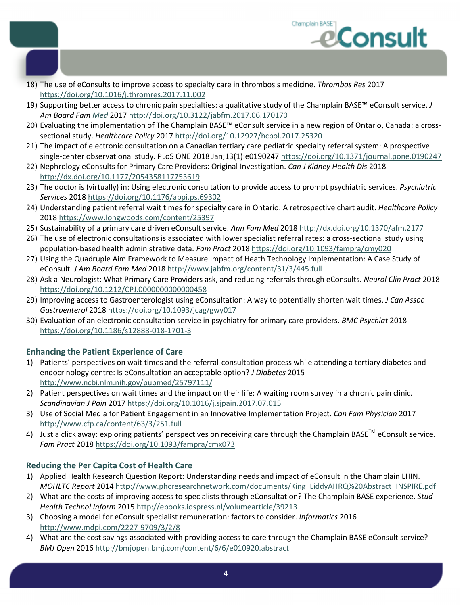

- 18) The use of eConsults to improve access to specialty care in thrombosis medicine. *Thrombos Res* 2017 https://doi.org/10.1016/j.thromres.2017.11.002
- 19) Supporting better access to chronic pain specialties: a qualitative study of the Champlain BASE™ eConsult service. *J Am Board Fam Med* 2017 http://doi.org/10.3122/jabfm.2017.06.170170
- 20) Evaluating the implementation of The Champlain BASE™ eConsult service in a new region of Ontario, Canada: a crosssectional study. *Healthcare Policy* 2017 http://doi.org/10.12927/hcpol.2017.25320
- 21) The impact of electronic consultation on a Canadian tertiary care pediatric specialty referral system: A prospective single-center observational study. PLoS ONE 2018 Jan;13(1):e0190247 https://doi.org/10.1371/journal.pone.0190247
- 22) Nephrology eConsults for Primary Care Providers: Original Investigation. *Can J Kidney Health Dis* 2018 http://dx.doi.org/10.1177/2054358117753619
- 23) The doctor is (virtually) in: Using electronic consultation to provide access to prompt psychiatric services. *Psychiatric Services* 2018 https://doi.org/10.1176/appi.ps.69302
- 24) Understanding patient referral wait times for specialty care in Ontario: A retrospective chart audit. *Healthcare Policy* 2018 https://www.longwoods.com/content/25397
- 25) Sustainability of a primary care driven eConsult service. *Ann Fam Med* 2018 http://dx.doi.org/10.1370/afm.2177
- 26) The use of electronic consultations is associated with lower specialist referral rates: a cross-sectional study using population-based health administrative data. *Fam Pract* 2018 https://doi.org/10.1093/fampra/cmy020
- 27) Using the Quadruple Aim Framework to Measure Impact of Heath Technology Implementation: A Case Study of eConsult. *J Am Board Fam Med* 2018 http://www.jabfm.org/content/31/3/445.full
- 28) Ask a Neurologist: What Primary Care Providers ask, and reducing referrals through eConsults. *Neurol Clin Pract* 2018 https://doi.org/10.1212/CPJ.0000000000000458
- 29) Improving access to Gastroenterologist using eConsultation: A way to potentially shorten wait times. *J Can Assoc Gastroenterol* 2018 https://doi.org/10.1093/jcag/gwy017
- 30) Evaluation of an electronic consultation service in psychiatry for primary care providers. *BMC Psychiat* 2018 https://doi.org/10.1186/s12888-018-1701-3

# **Enhancing the Patient Experience of Care**

- 1) Patients' perspectives on wait times and the referral-consultation process while attending a tertiary diabetes and endocrinology centre: Is eConsultation an acceptable option? *J Diabetes* 2015 http://www.ncbi.nlm.nih.gov/pubmed/25797111/
- 2) Patient perspectives on wait times and the impact on their life: A waiting room survey in a chronic pain clinic. *Scandinavian J Pain* 2017 https://doi.org/10.1016/j.sjpain.2017.07.015
- 3) Use of Social Media for Patient Engagement in an Innovative Implementation Project. *Can Fam Physician* 2017 http://www.cfp.ca/content/63/3/251.full
- 4) Just a click away: exploring patients' perspectives on receiving care through the Champlain BASE<sup>TM</sup> eConsult service. *Fam Pract* 2018 https://doi.org/10.1093/fampra/cmx073

# **Reducing the Per Capita Cost of Health Care**

- 1) Applied Health Research Question Report: Understanding needs and impact of eConsult in the Champlain LHIN. *MOHLTC Report* 2014 http://www.phcresearchnetwork.com/documents/King\_LiddyAHRQ%20Abstract\_INSPIRE.pdf
- 2) What are the costs of improving access to specialists through eConsultation? The Champlain BASE experience. *Stud Health Technol Inform* 2015 http://ebooks.iospress.nl/volumearticle/39213
- 3) Choosing a model for eConsult specialist remuneration: factors to consider. *Informatics* 2016 http://www.mdpi.com/2227-9709/3/2/8
- 4) What are the cost savings associated with providing access to care through the Champlain BASE eConsult service? *BMJ Open* 2016 http://bmjopen.bmj.com/content/6/6/e010920.abstract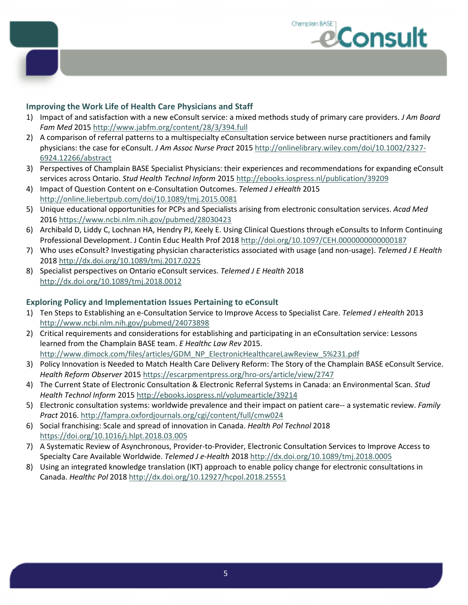

## **Improving the Work Life of Health Care Physicians and Staff**

- 1) Impact of and satisfaction with a new eConsult service: a mixed methods study of primary care providers. *J Am Board Fam Med* 2015 http://www.jabfm.org/content/28/3/394.full
- 2) A comparison of referral patterns to a multispecialty eConsultation service between nurse practitioners and family physicians: the case for eConsult. *J Am Assoc Nurse Pract* 2015 http://onlinelibrary.wiley.com/doi/10.1002/2327- 6924.12266/abstract
- 3) Perspectives of Champlain BASE Specialist Physicians: their experiences and recommendations for expanding eConsult services across Ontario. *Stud Health Technol Inform* 2015 http://ebooks.iospress.nl/publication/39209
- 4) Impact of Question Content on e-Consultation Outcomes. *Telemed J eHealth* 2015 http://online.liebertpub.com/doi/10.1089/tmj.2015.0081
- 5) Unique educational opportunities for PCPs and Specialists arising from electronic consultation services. *Acad Med* 2016 https://www.ncbi.nlm.nih.gov/pubmed/28030423
- 6) Archibald D, Liddy C, Lochnan HA, Hendry PJ, Keely E. Using Clinical Questions through eConsults to Inform Continuing Professional Development. J Contin Educ Health Prof 2018 http://doi.org/10.1097/CEH.0000000000000187
- 7) Who uses eConsult? Investigating physician characteristics associated with usage (and non-usage). *Telemed J E Health*  2018 http://dx.doi.org/10.1089/tmj.2017.0225
- 8) Specialist perspectives on Ontario eConsult services. *Telemed J E Health* 2018 http://dx.doi.org/10.1089/tmj.2018.0012

### **Exploring Policy and Implementation Issues Pertaining to eConsult**

- 1) Ten Steps to Establishing an e-Consultation Service to Improve Access to Specialist Care. *Telemed J eHealth* 2013 http://www.ncbi.nlm.nih.gov/pubmed/24073898
- 2) Critical requirements and considerations for establishing and participating in an eConsultation service: Lessons learned from the Champlain BASE team. *E Healthc Law Rev* 2015. http://www.dimock.com/files/articles/GDM\_NP\_ElectronicHealthcareLawReview\_5%231.pdf
- 3) Policy Innovation is Needed to Match Health Care Delivery Reform: The Story of the Champlain BASE eConsult Service. *Health Reform Observer* 2015 https://escarpmentpress.org/hro-ors/article/view/2747
- 4) The Current State of Electronic Consultation & Electronic Referral Systems in Canada: an Environmental Scan. *Stud Health Technol Inform* 2015 http://ebooks.iospress.nl/volumearticle/39214
- 5) Electronic consultation systems: worldwide prevalence and their impact on patient care-- a systematic review. *Family Pract* 2016. http://fampra.oxfordjournals.org/cgi/content/full/cmw024
- 6) Social franchising: Scale and spread of innovation in Canada. *Health Pol Technol* 2018 https://doi.org/10.1016/j.hlpt.2018.03.005
- 7) A Systematic Review of Asynchronous, Provider-to-Provider, Electronic Consultation Services to Improve Access to Specialty Care Available Worldwide. *Telemed J e-Health* 2018 http://dx.doi.org/10.1089/tmj.2018.0005
- 8) Using an integrated knowledge translation (IKT) approach to enable policy change for electronic consultations in Canada. *Healthc Pol* 2018 http://dx.doi.org/10.12927/hcpol.2018.25551